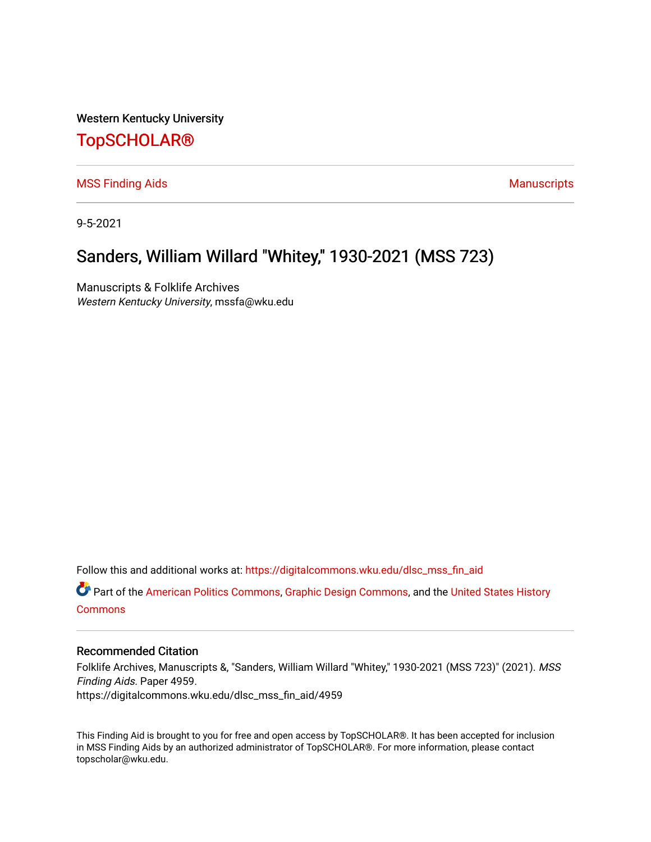Western Kentucky University

## [TopSCHOLAR®](https://digitalcommons.wku.edu/)

[MSS Finding Aids](https://digitalcommons.wku.edu/dlsc_mss_fin_aid) **Manuscripts** [Manuscripts](https://digitalcommons.wku.edu/dlsc_mss) **Manuscripts** 

9-5-2021

# Sanders, William Willard "Whitey," 1930-2021 (MSS 723)

Manuscripts & Folklife Archives Western Kentucky University, mssfa@wku.edu

Follow this and additional works at: [https://digitalcommons.wku.edu/dlsc\\_mss\\_fin\\_aid](https://digitalcommons.wku.edu/dlsc_mss_fin_aid?utm_source=digitalcommons.wku.edu%2Fdlsc_mss_fin_aid%2F4959&utm_medium=PDF&utm_campaign=PDFCoverPages) 

Part of the [American Politics Commons,](http://network.bepress.com/hgg/discipline/387?utm_source=digitalcommons.wku.edu%2Fdlsc_mss_fin_aid%2F4959&utm_medium=PDF&utm_campaign=PDFCoverPages) [Graphic Design Commons](http://network.bepress.com/hgg/discipline/1134?utm_source=digitalcommons.wku.edu%2Fdlsc_mss_fin_aid%2F4959&utm_medium=PDF&utm_campaign=PDFCoverPages), and the [United States History](http://network.bepress.com/hgg/discipline/495?utm_source=digitalcommons.wku.edu%2Fdlsc_mss_fin_aid%2F4959&utm_medium=PDF&utm_campaign=PDFCoverPages)  **[Commons](http://network.bepress.com/hgg/discipline/495?utm_source=digitalcommons.wku.edu%2Fdlsc_mss_fin_aid%2F4959&utm_medium=PDF&utm_campaign=PDFCoverPages)** 

#### Recommended Citation

Folklife Archives, Manuscripts &, "Sanders, William Willard "Whitey," 1930-2021 (MSS 723)" (2021). MSS Finding Aids. Paper 4959. https://digitalcommons.wku.edu/dlsc\_mss\_fin\_aid/4959

This Finding Aid is brought to you for free and open access by TopSCHOLAR®. It has been accepted for inclusion in MSS Finding Aids by an authorized administrator of TopSCHOLAR®. For more information, please contact topscholar@wku.edu.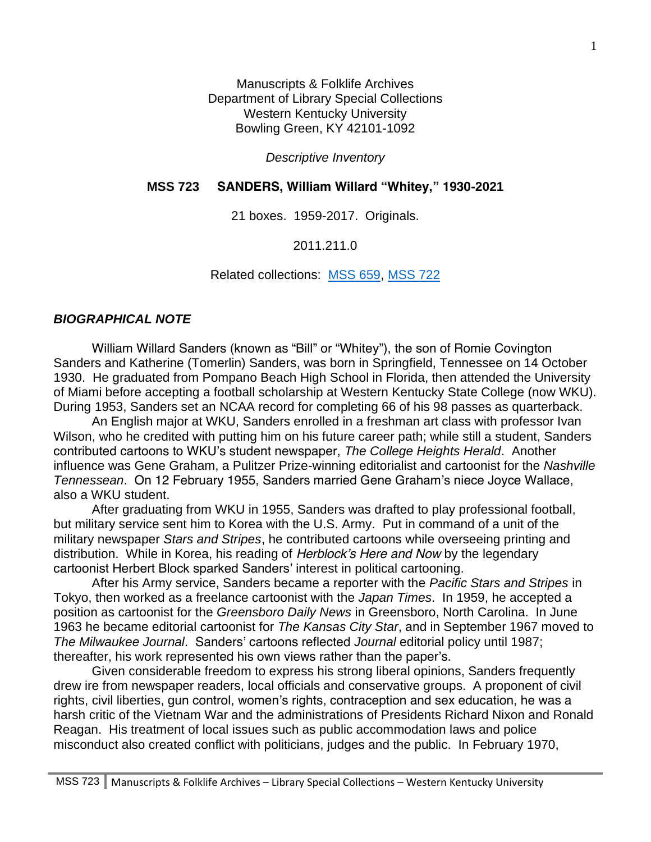Manuscripts & Folklife Archives Department of Library Special Collections Western Kentucky University Bowling Green, KY 42101-1092

*Descriptive Inventory*

## **MSS 723 SANDERS, William Willard "Whitey," 1930-2021**

21 boxes. 1959-2017. Originals.

2011.211.0

Related collections: [MSS 659,](https://digitalcommons.wku.edu/dlsc_mss_fin_aid/4578/) [MSS 722](https://digitalcommons.wku.edu/dlsc_mss_fin_aid/4960)

## *BIOGRAPHICAL NOTE*

William Willard Sanders (known as "Bill" or "Whitey"), the son of Romie Covington Sanders and Katherine (Tomerlin) Sanders, was born in Springfield, Tennessee on 14 October 1930. He graduated from Pompano Beach High School in Florida, then attended the University of Miami before accepting a football scholarship at Western Kentucky State College (now WKU). During 1953, Sanders set an NCAA record for completing 66 of his 98 passes as quarterback.

An English major at WKU, Sanders enrolled in a freshman art class with professor Ivan Wilson, who he credited with putting him on his future career path; while still a student, Sanders contributed cartoons to WKU's student newspaper, *The College Heights Herald*. Another influence was Gene Graham, a Pulitzer Prize-winning editorialist and cartoonist for the *Nashville Tennessean*. On 12 February 1955, Sanders married Gene Graham's niece Joyce Wallace, also a WKU student.

After graduating from WKU in 1955, Sanders was drafted to play professional football, but military service sent him to Korea with the U.S. Army. Put in command of a unit of the military newspaper *Stars and Stripes*, he contributed cartoons while overseeing printing and distribution. While in Korea, his reading of *Herblock's Here and Now* by the legendary cartoonist Herbert Block sparked Sanders' interest in political cartooning.

After his Army service, Sanders became a reporter with the *Pacific Stars and Stripes* in Tokyo, then worked as a freelance cartoonist with the *Japan Times*. In 1959, he accepted a position as cartoonist for the *Greensboro Daily News* in Greensboro, North Carolina. In June 1963 he became editorial cartoonist for *The Kansas City Star*, and in September 1967 moved to *The Milwaukee Journal*. Sanders' cartoons reflected *Journal* editorial policy until 1987; thereafter, his work represented his own views rather than the paper's.

Given considerable freedom to express his strong liberal opinions, Sanders frequently drew ire from newspaper readers, local officials and conservative groups. A proponent of civil rights, civil liberties, gun control, women's rights, contraception and sex education, he was a harsh critic of the Vietnam War and the administrations of Presidents Richard Nixon and Ronald Reagan. His treatment of local issues such as public accommodation laws and police misconduct also created conflict with politicians, judges and the public. In February 1970,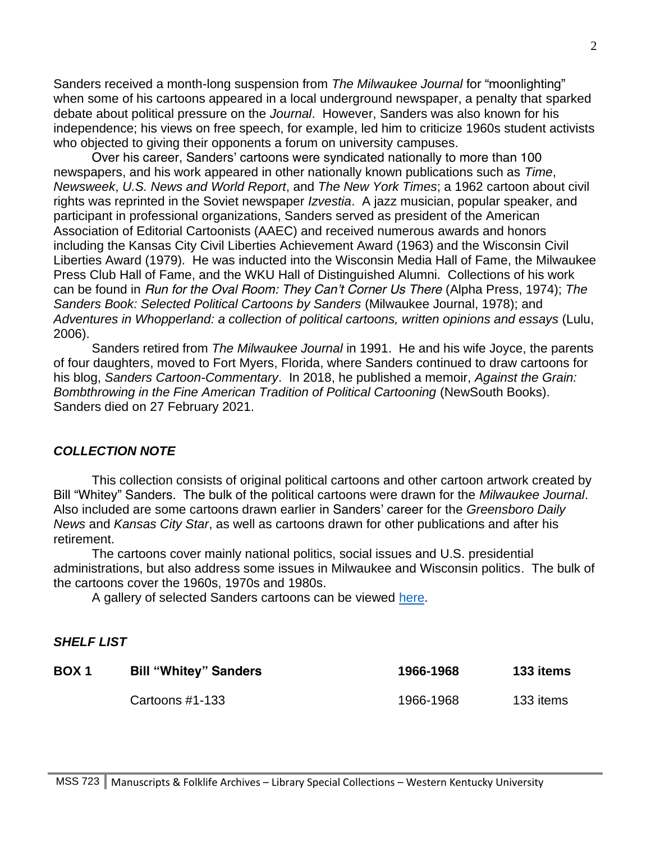Sanders received a month-long suspension from *The Milwaukee Journal* for "moonlighting" when some of his cartoons appeared in a local underground newspaper, a penalty that sparked debate about political pressure on the *Journal*. However, Sanders was also known for his independence; his views on free speech, for example, led him to criticize 1960s student activists who objected to giving their opponents a forum on university campuses.

Over his career, Sanders' cartoons were syndicated nationally to more than 100 newspapers, and his work appeared in other nationally known publications such as *Time*, *Newsweek*, *U.S. News and World Report*, and *The New York Times*; a 1962 cartoon about civil rights was reprinted in the Soviet newspaper *Izvestia*. A jazz musician, popular speaker, and participant in professional organizations, Sanders served as president of the American Association of Editorial Cartoonists (AAEC) and received numerous awards and honors including the Kansas City Civil Liberties Achievement Award (1963) and the Wisconsin Civil Liberties Award (1979). He was inducted into the Wisconsin Media Hall of Fame, the Milwaukee Press Club Hall of Fame, and the WKU Hall of Distinguished Alumni. Collections of his work can be found in *Run for the Oval Room: They Can't Corner Us There* (Alpha Press, 1974); *The Sanders Book: Selected Political Cartoons by Sanders* (Milwaukee Journal, 1978); and *Adventures in Whopperland: a collection of political cartoons, written opinions and essays* (Lulu, 2006).

Sanders retired from *The Milwaukee Journal* in 1991. He and his wife Joyce, the parents of four daughters, moved to Fort Myers, Florida, where Sanders continued to draw cartoons for his blog, *Sanders Cartoon-Commentary*. In 2018, he published a memoir, *Against the Grain: Bombthrowing in the Fine American Tradition of Political Cartooning* (NewSouth Books). Sanders died on 27 February 2021.

#### *COLLECTION NOTE*

This collection consists of original political cartoons and other cartoon artwork created by Bill "Whitey" Sanders. The bulk of the political cartoons were drawn for the *Milwaukee Journal*. Also included are some cartoons drawn earlier in Sanders' career for the *Greensboro Daily News* and *Kansas City Star*, as well as cartoons drawn for other publications and after his retirement.

The cartoons cover mainly national politics, social issues and U.S. presidential administrations, but also address some issues in Milwaukee and Wisconsin politics. The bulk of the cartoons cover the 1960s, 1970s and 1980s.

A gallery of selected Sanders cartoons can be viewed [here.](https://digitalcommons.wku.edu/billsanders_political_toons/)

#### *SHELF LIST*

| BOX <sub>1</sub> | <b>Bill "Whitey" Sanders</b> | 1966-1968 | 133 items |
|------------------|------------------------------|-----------|-----------|
|                  | Cartoons $#1-133$            | 1966-1968 | 133 items |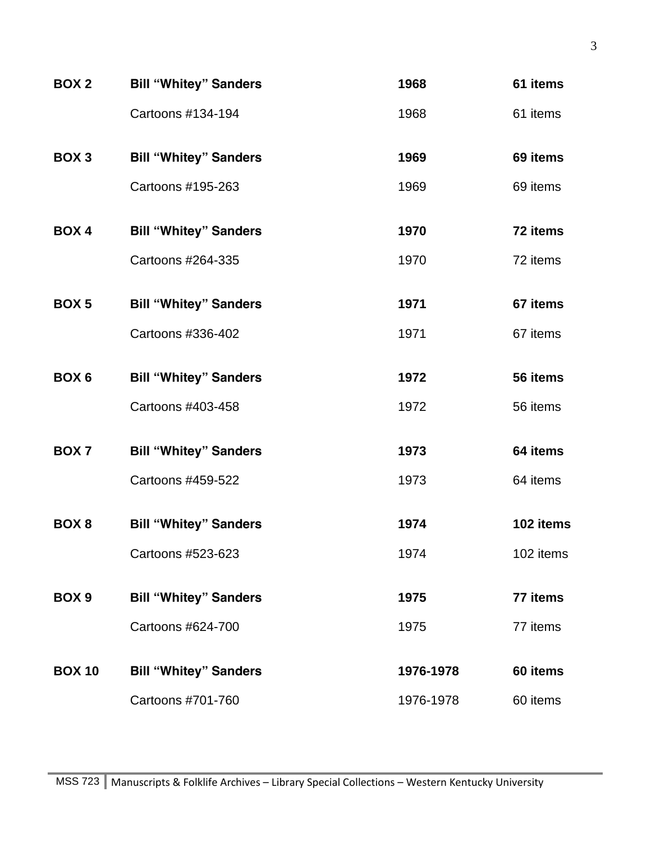| <b>BOX 2</b>     | <b>Bill "Whitey" Sanders</b> | 1968      | 61 items  |
|------------------|------------------------------|-----------|-----------|
|                  | Cartoons #134-194            | 1968      | 61 items  |
| BOX <sub>3</sub> | <b>Bill "Whitey" Sanders</b> | 1969      | 69 items  |
|                  | Cartoons #195-263            | 1969      | 69 items  |
| <b>BOX4</b>      | <b>Bill "Whitey" Sanders</b> | 1970      | 72 items  |
|                  | Cartoons #264-335            | 1970      | 72 items  |
| BOX <sub>5</sub> | <b>Bill "Whitey" Sanders</b> | 1971      | 67 items  |
|                  | Cartoons #336-402            | 1971      | 67 items  |
| BOX <sub>6</sub> | <b>Bill "Whitey" Sanders</b> | 1972      | 56 items  |
|                  | Cartoons #403-458            | 1972      | 56 items  |
| BOX <sub>7</sub> | <b>Bill "Whitey" Sanders</b> | 1973      | 64 items  |
|                  | Cartoons #459-522            | 1973      | 64 items  |
| BOX 8            | <b>Bill "Whitey" Sanders</b> | 1974      | 102 items |
|                  | Cartoons #523-623            | 1974      | 102 items |
| BOX <sub>9</sub> | <b>Bill "Whitey" Sanders</b> | 1975      | 77 items  |
|                  | Cartoons #624-700            | 1975      | 77 items  |
| <b>BOX 10</b>    | <b>Bill "Whitey" Sanders</b> | 1976-1978 | 60 items  |
|                  | Cartoons #701-760            | 1976-1978 | 60 items  |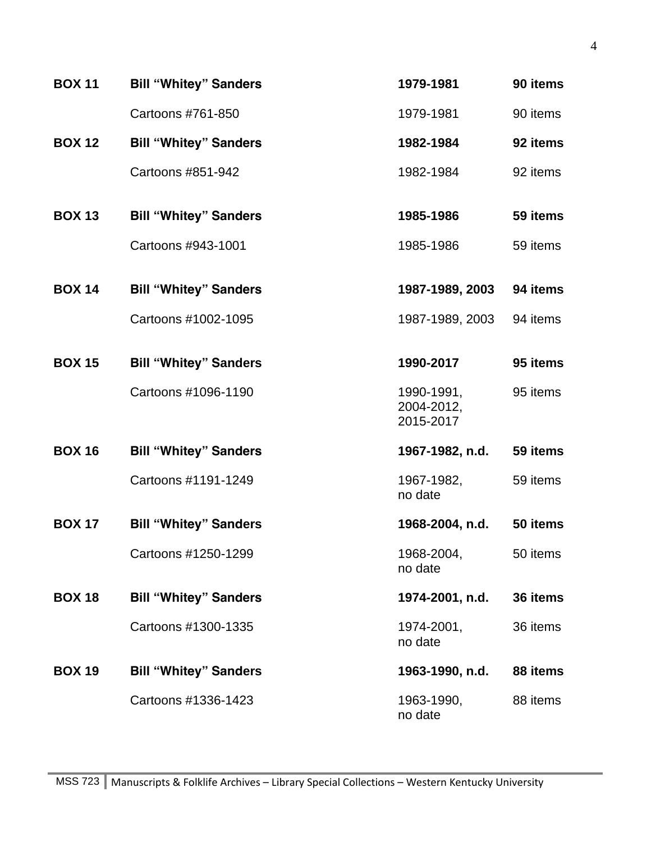| <b>BOX 11</b> | <b>Bill "Whitey" Sanders</b> | 1979-1981                             | 90 items |
|---------------|------------------------------|---------------------------------------|----------|
|               | Cartoons #761-850            | 1979-1981                             | 90 items |
| <b>BOX 12</b> | <b>Bill "Whitey" Sanders</b> | 1982-1984                             | 92 items |
|               | Cartoons #851-942            | 1982-1984                             | 92 items |
| <b>BOX 13</b> | <b>Bill "Whitey" Sanders</b> | 1985-1986                             | 59 items |
|               | Cartoons #943-1001           | 1985-1986                             | 59 items |
| <b>BOX 14</b> | <b>Bill "Whitey" Sanders</b> | 1987-1989, 2003                       | 94 items |
|               | Cartoons #1002-1095          | 1987-1989, 2003                       | 94 items |
| <b>BOX 15</b> | <b>Bill "Whitey" Sanders</b> | 1990-2017                             | 95 items |
|               | Cartoons #1096-1190          | 1990-1991,<br>2004-2012,<br>2015-2017 | 95 items |
| <b>BOX 16</b> | <b>Bill "Whitey" Sanders</b> | 1967-1982, n.d.                       | 59 items |
|               | Cartoons #1191-1249          | 1967-1982,<br>no date                 | 59 items |
| <b>BOX 17</b> | <b>Bill "Whitey" Sanders</b> | 1968-2004, n.d.                       | 50 items |
|               | Cartoons #1250-1299          | 1968-2004,<br>no date                 | 50 items |
| <b>BOX 18</b> | <b>Bill "Whitey" Sanders</b> | 1974-2001, n.d.                       | 36 items |
|               | Cartoons #1300-1335          | 1974-2001,<br>no date                 | 36 items |
| <b>BOX 19</b> | <b>Bill "Whitey" Sanders</b> | 1963-1990, n.d.                       | 88 items |
|               | Cartoons #1336-1423          | 1963-1990,<br>no date                 | 88 items |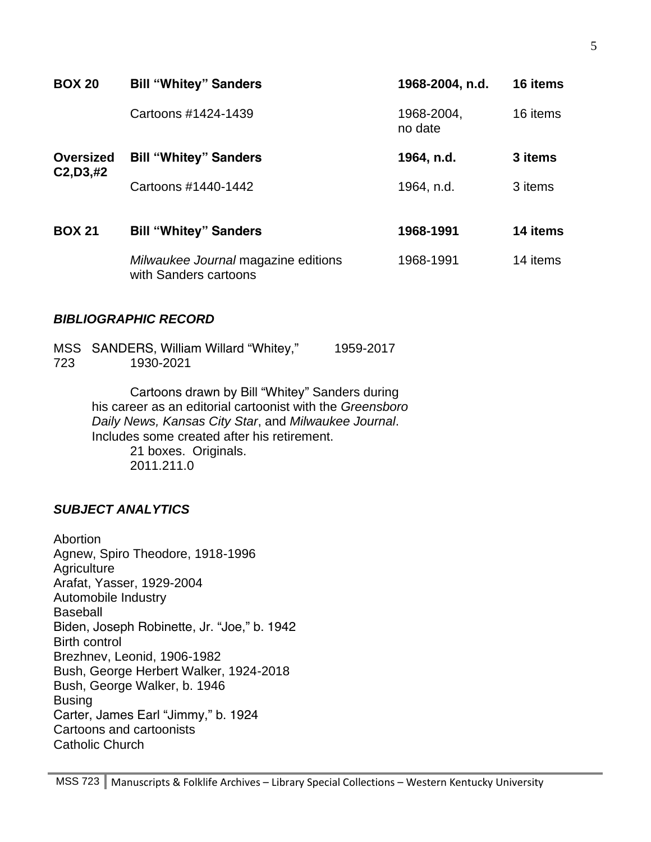| <b>BOX 20</b>    | <b>Bill "Whitey" Sanders</b>                                 | 1968-2004, n.d.       | 16 items |
|------------------|--------------------------------------------------------------|-----------------------|----------|
|                  | Cartoons #1424-1439                                          | 1968-2004,<br>no date | 16 items |
| <b>Oversized</b> | <b>Bill "Whitey" Sanders</b>                                 | 1964, n.d.            | 3 items  |
| C2, D3, #2       | Cartoons #1440-1442                                          | 1964, n.d.            | 3 items  |
| <b>BOX 21</b>    | <b>Bill "Whitey" Sanders</b>                                 | 1968-1991             | 14 items |
|                  | Milwaukee Journal magazine editions<br>with Sanders cartoons | 1968-1991             | 14 items |

## *BIBLIOGRAPHIC RECORD*

|     | MSS SANDERS, William Willard "Whitey," | 1959-2017 |
|-----|----------------------------------------|-----------|
| 723 | 1930-2021                              |           |

Cartoons drawn by Bill "Whitey" Sanders during his career as an editorial cartoonist with the *Greensboro Daily News, Kansas City Star*, and *Milwaukee Journal*. Includes some created after his retirement. 21 boxes. Originals. 2011.211.0

## *SUBJECT ANALYTICS*

Abortion Agnew, Spiro Theodore, 1918-1996 **Agriculture** Arafat, Yasser, 1929-2004 Automobile Industry Baseball Biden, Joseph Robinette, Jr. "Joe," b. 1942 Birth control Brezhnev, Leonid, 1906-1982 Bush, George Herbert Walker, 1924-2018 Bush, George Walker, b. 1946 Busing Carter, James Earl "Jimmy," b. 1924 Cartoons and cartoonists Catholic Church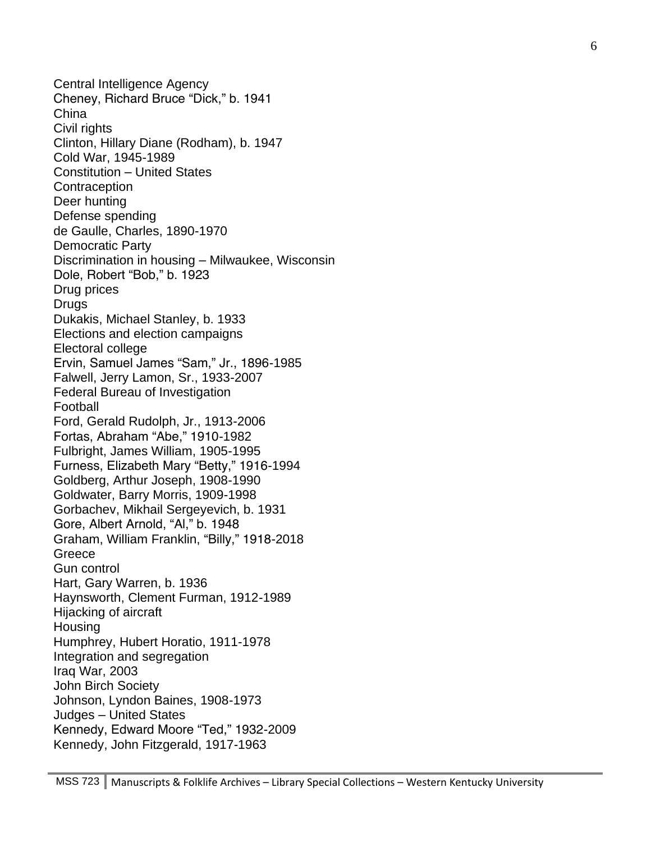Central Intelligence Agency Cheney, Richard Bruce "Dick," b. 1941 China Civil rights Clinton, Hillary Diane (Rodham), b. 1947 Cold War, 1945-1989 Constitution – United States **Contraception** Deer hunting Defense spending de Gaulle, Charles, 1890-1970 Democratic Party Discrimination in housing – Milwaukee, Wisconsin Dole, Robert "Bob," b. 1923 Drug prices Drugs Dukakis, Michael Stanley, b. 1933 Elections and election campaigns Electoral college Ervin, Samuel James "Sam," Jr., 1896-1985 Falwell, Jerry Lamon, Sr., 1933-2007 Federal Bureau of Investigation Football Ford, Gerald Rudolph, Jr., 1913-2006 Fortas, Abraham "Abe," 1910-1982 Fulbright, James William, 1905-1995 Furness, Elizabeth Mary "Betty," 1916-1994 Goldberg, Arthur Joseph, 1908-1990 Goldwater, Barry Morris, 1909-1998 Gorbachev, Mikhail Sergeyevich, b. 1931 Gore, Albert Arnold, "Al," b. 1948 Graham, William Franklin, "Billy," 1918-2018 **Greece** Gun control Hart, Gary Warren, b. 1936 Haynsworth, Clement Furman, 1912-1989 Hijacking of aircraft **Housing** Humphrey, Hubert Horatio, 1911-1978 Integration and segregation Iraq War, 2003 John Birch Society Johnson, Lyndon Baines, 1908-1973 Judges – United States Kennedy, Edward Moore "Ted," 1932-2009 Kennedy, John Fitzgerald, 1917-1963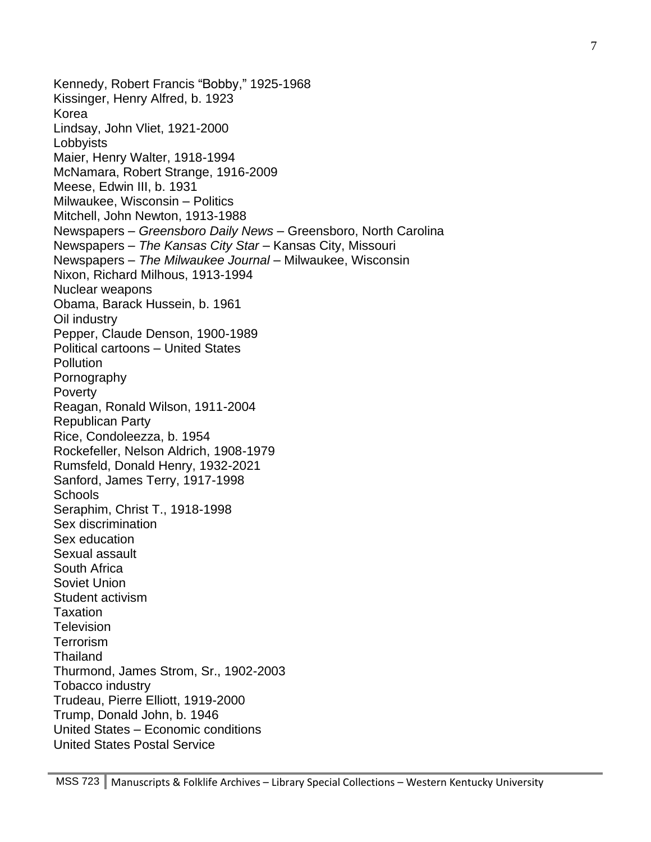Kennedy, Robert Francis "Bobby," 1925-1968 Kissinger, Henry Alfred, b. 1923 Korea Lindsay, John Vliet, 1921-2000 Lobbyists Maier, Henry Walter, 1918-1994 McNamara, Robert Strange, 1916-2009 Meese, Edwin III, b. 1931 Milwaukee, Wisconsin – Politics Mitchell, John Newton, 1913-1988 Newspapers – *Greensboro Daily News* – Greensboro, North Carolina Newspapers – *The Kansas City Star* – Kansas City, Missouri Newspapers – The Milwaukee Journal – Milwaukee, Wisconsin Nixon, Richard Milhous, 1913-1994 Nuclear weapons Obama, Barack Hussein, b. 1961 Oil industry Pepper, Claude Denson, 1900-1989 Political cartoons – United States **Pollution** Pornography Poverty Reagan, Ronald Wilson, 1911-2004 Republican Party Rice, Condoleezza, b. 1954 Rockefeller, Nelson Aldrich, 1908-1979 Rumsfeld, Donald Henry, 1932-2021 Sanford, James Terry, 1917-1998 **Schools** Seraphim, Christ T., 1918-1998 Sex discrimination Sex education Sexual assault South Africa Soviet Union Student activism Taxation **Television** Terrorism **Thailand** Thurmond, James Strom, Sr., 1902-2003 Tobacco industry Trudeau, Pierre Elliott, 1919-2000 Trump, Donald John, b. 1946 United States – Economic conditions United States Postal Service